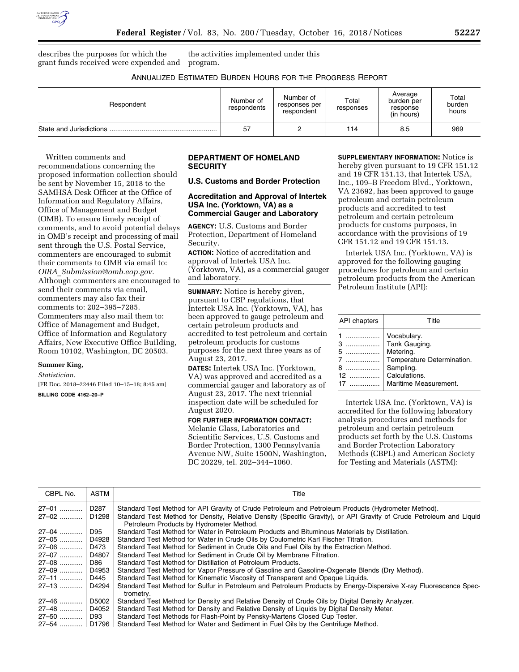

describes the purposes for which the grant funds received were expended and

the activities implemented under this program.

## ANNUALIZED ESTIMATED BURDEN HOURS FOR THE PROGRESS REPORT

| Respondent | Number of<br>respondents | Number of<br>responses per<br>respondent | Total<br>responses | Average<br>burden per<br>response<br>(in hours) | Total<br>burden<br>hours |
|------------|--------------------------|------------------------------------------|--------------------|-------------------------------------------------|--------------------------|
|            | 57                       | ົ<br>▃                                   | 114                | 8.5                                             | 969                      |

Written comments and recommendations concerning the proposed information collection should be sent by November 15, 2018 to the SAMHSA Desk Officer at the Office of Information and Regulatory Affairs, Office of Management and Budget (OMB). To ensure timely receipt of comments, and to avoid potential delays in OMB's receipt and processing of mail sent through the U.S. Postal Service, commenters are encouraged to submit their comments to OMB via email to: *OIRA*\_*[Submission@omb.eop.gov.](mailto:OIRA_Submission@omb.eop.gov)*  Although commenters are encouraged to send their comments via email, commenters may also fax their comments to: 202–395–7285. Commenters may also mail them to: Office of Management and Budget, Office of Information and Regulatory Affairs, New Executive Office Building, Room 10102, Washington, DC 20503.

# **Summer King,**

*Statistician.* 

[FR Doc. 2018–22446 Filed 10–15–18; 8:45 am] **BILLING CODE 4162–20–P** 

## **DEPARTMENT OF HOMELAND SECURITY**

## **U.S. Customs and Border Protection**

### **Accreditation and Approval of Intertek USA Inc. (Yorktown, VA) as a Commercial Gauger and Laboratory**

**AGENCY:** U.S. Customs and Border Protection, Department of Homeland Security.

**ACTION:** Notice of accreditation and approval of Intertek USA Inc. (Yorktown, VA), as a commercial gauger and laboratory.

**SUMMARY:** Notice is hereby given, pursuant to CBP regulations, that Intertek USA Inc. (Yorktown, VA), has been approved to gauge petroleum and certain petroleum products and accredited to test petroleum and certain petroleum products for customs purposes for the next three years as of August 23, 2017.

**DATES:** Intertek USA Inc. (Yorktown, VA) was approved and accredited as a commercial gauger and laboratory as of August 23, 2017. The next triennial inspection date will be scheduled for August 2020.

# **FOR FURTHER INFORMATION CONTACT:**

Melanie Glass, Laboratories and Scientific Services, U.S. Customs and Border Protection, 1300 Pennsylvania Avenue NW, Suite 1500N, Washington, DC 20229, tel. 202–344–1060.

**SUPPLEMENTARY INFORMATION:** Notice is hereby given pursuant to 19 CFR 151.12 and 19 CFR 151.13, that Intertek USA, Inc., 109–B Freedom Blvd., Yorktown, VA 23692, has been approved to gauge petroleum and certain petroleum products and accredited to test petroleum and certain petroleum products for customs purposes, in accordance with the provisions of 19 CFR 151.12 and 19 CFR 151.13.

Intertek USA Inc. (Yorktown, VA) is approved for the following gauging procedures for petroleum and certain petroleum products from the American Petroleum Institute (API):

| <b>API</b> chapters | Title                                                                                                                          |  |
|---------------------|--------------------------------------------------------------------------------------------------------------------------------|--|
| 3<br>$12$<br>17     | Vocabulary.<br>Tank Gauging.<br>Metering.<br>Temperature Determination.<br>Sampling.<br>Calculations.<br>Maritime Measurement. |  |
|                     |                                                                                                                                |  |

Intertek USA Inc. (Yorktown, VA) is accredited for the following laboratory analysis procedures and methods for petroleum and certain petroleum products set forth by the U.S. Customs and Border Protection Laboratory Methods (CBPL) and American Society for Testing and Materials (ASTM):

| CBPL No.          | <b>ASTM</b> | Title                                                                                                               |
|-------------------|-------------|---------------------------------------------------------------------------------------------------------------------|
| 27-01             | D287        | Standard Test Method for API Gravity of Crude Petroleum and Petroleum Products (Hydrometer Method).                 |
| 27–02 …………        | D1298       | Standard Test Method for Density, Relative Density (Specific Gravity), or API Gravity of Crude Petroleum and Liquid |
|                   |             | Petroleum Products by Hydrometer Method.                                                                            |
| 27–04 …………        | D95         | Standard Test Method for Water in Petroleum Products and Bituminous Materials by Distillation.                      |
| 27-05             | D4928       | Standard Test Method for Water in Crude Oils by Coulometric Karl Fischer Titration.                                 |
| 27-06             | D473        | Standard Test Method for Sediment in Crude Oils and Fuel Oils by the Extraction Method.                             |
| 27–07 …………!       | D4807       | Standard Test Method for Sediment in Crude Oil by Membrane Filtration.                                              |
| 27-08 !           | D86         | Standard Test Method for Distillation of Petroleum Products.                                                        |
| 27–09 ………… ا      | D4953       | Standard Test Method for Vapor Pressure of Gasoline and Gasoline-Oxgenate Blends (Dry Method).                      |
| 27–11 …………        | D445        | Standard Test Method for Kinematic Viscosity of Transparent and Opaque Liquids.                                     |
| 27–13             | D4294       | Standard Test Method for Sulfur in Petroleum and Petroleum Products by Energy-Dispersive X-ray Fluorescence Spec-   |
|                   |             | trometry.                                                                                                           |
| 27–46             | D5002       | Standard Test Method for Density and Relative Density of Crude Oils by Digital Density Analyzer.                    |
| 27–48 …………        | D4052       | Standard Test Method for Density and Relative Density of Liquids by Digital Density Meter.                          |
| 27–50             | D93         | Standard Test Methods for Flash-Point by Pensky-Martens Closed Cup Tester.                                          |
| 27–54 ………… ∣D1796 |             | Standard Test Method for Water and Sediment in Fuel Oils by the Centrifuge Method.                                  |